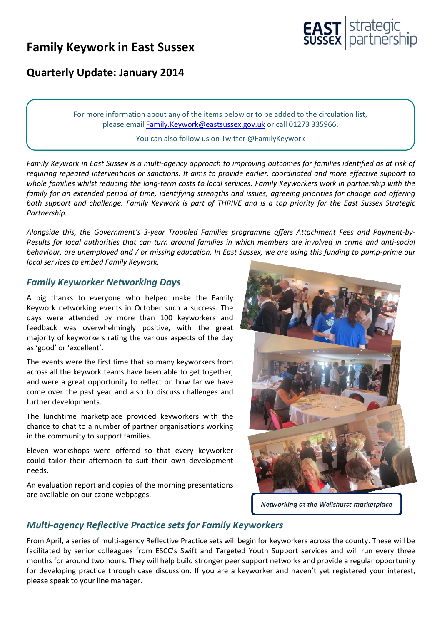# **Family Keywork in East Sussex**



### **Quarterly Update: January 2014**

For more information about any of the items below or to be added to the circulation list, please emai[l Family.Keywork@eastsussex.gov.uk](mailto:Family.Keywork@eastsussex.gov.uk) or call 01273 335966.

#### You can also follow us on Twitter @FamilyKeywork

*Family Keywork in East Sussex is a multi-agency approach to improving outcomes for families identified as at risk of requiring repeated interventions or sanctions. It aims to provide earlier, coordinated and more effective support to whole families whilst reducing the long-term costs to local services. Family Keyworkers work in partnership with the family for an extended period of time, identifying strengths and issues, agreeing priorities for change and offering both support and challenge. Family Keywork is part of THRIVE and is a top priority for the East Sussex Strategic Partnership.*

*Alongside this, the Government's 3-year Troubled Families programme offers Attachment Fees and Payment-by-Results for local authorities that can turn around families in which members are involved in crime and anti-social behaviour, are unemployed and / or missing education. In East Sussex, we are using this funding to pump-prime our local services to embed Family Keywork.*

#### *Family Keyworker Networking Days*

A big thanks to everyone who helped make the Family Keywork networking events in October such a success. The days were attended by more than 100 keyworkers and feedback was overwhelmingly positive, with the great majority of keyworkers rating the various aspects of the day as 'good' or 'excellent'.

The events were the first time that so many keyworkers from across all the keywork teams have been able to get together, and were a great opportunity to reflect on how far we have come over the past year and also to discuss challenges and further developments.

The lunchtime marketplace provided keyworkers with the chance to chat to a number of partner organisations working in the community to support families.

Eleven workshops were offered so that every keyworker could tailor their afternoon to suit their own development needs.

An evaluation report and copies of the morning presentations are available on our czone webpages.



Networking at the Wellshurst marketplace

#### *Multi-agency Reflective Practice sets for Family Keyworkers*

From April, a series of multi-agency Reflective Practice sets will begin for keyworkers across the county. These will be facilitated by senior colleagues from ESCC's Swift and Targeted Youth Support services and will run every three months for around two hours. They will help build stronger peer support networks and provide a regular opportunity for developing practice through case discussion. If you are a keyworker and haven't yet registered your interest, please speak to your line manager.